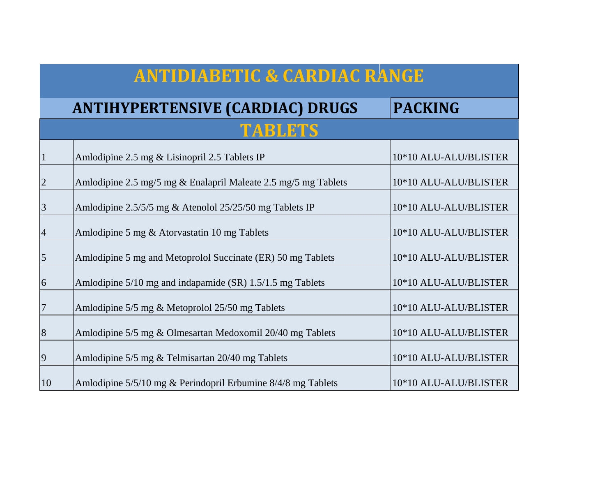|                | <b>ANTIDIABETIC &amp; CARDIAC RANGE</b>                        |                       |
|----------------|----------------------------------------------------------------|-----------------------|
|                | <b>ANTIHYPERTENSIVE (CARDIAC) DRUGS</b>                        | <b>PACKING</b>        |
|                | <b>TABLETS</b>                                                 |                       |
|                | Amlodipine 2.5 mg & Lisinopril 2.5 Tablets IP                  | 10*10 ALU-ALU/BLISTER |
| $\overline{2}$ | Amlodipine 2.5 mg/5 mg & Enalapril Maleate 2.5 mg/5 mg Tablets | 10*10 ALU-ALU/BLISTER |
| $\overline{3}$ | Amlodipine 2.5/5/5 mg & Atenolol 25/25/50 mg Tablets IP        | 10*10 ALU-ALU/BLISTER |
| $\overline{4}$ | Amlodipine 5 mg & Atorvastatin 10 mg Tablets                   | 10*10 ALU-ALU/BLISTER |
| 5              | Amlodipine 5 mg and Metoprolol Succinate (ER) 50 mg Tablets    | 10*10 ALU-ALU/BLISTER |
| 6              | Amlodipine 5/10 mg and indapamide (SR) 1.5/1.5 mg Tablets      | 10*10 ALU-ALU/BLISTER |
| $\overline{7}$ | Amlodipine 5/5 mg & Metoprolol 25/50 mg Tablets                | 10*10 ALU-ALU/BLISTER |
| $\sqrt{8}$     | Amlodipine 5/5 mg & Olmesartan Medoxomil 20/40 mg Tablets      | 10*10 ALU-ALU/BLISTER |
| 9              | Amlodipine 5/5 mg & Telmisartan 20/40 mg Tablets               | 10*10 ALU-ALU/BLISTER |
| 10             | Amlodipine 5/5/10 mg & Perindopril Erbumine 8/4/8 mg Tablets   | 10*10 ALU-ALU/BLISTER |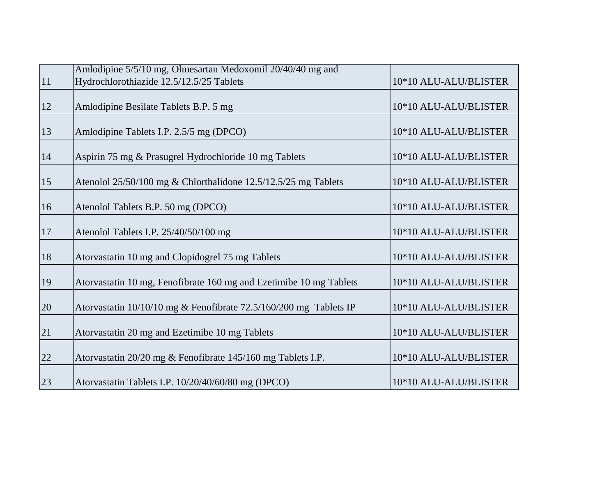| 11            | Amlodipine 5/5/10 mg, Olmesartan Medoxomil 20/40/40 mg and         | 10*10 ALU-ALU/BLISTER |
|---------------|--------------------------------------------------------------------|-----------------------|
|               | Hydrochlorothiazide 12.5/12.5/25 Tablets                           |                       |
| <sup>12</sup> | Amlodipine Besilate Tablets B.P. 5 mg                              | 10*10 ALU-ALU/BLISTER |
| 13            | Amlodipine Tablets I.P. 2.5/5 mg (DPCO)                            | 10*10 ALU-ALU/BLISTER |
| 14            | Aspirin 75 mg & Prasugrel Hydrochloride 10 mg Tablets              | 10*10 ALU-ALU/BLISTER |
| <sup>15</sup> | Atenolol 25/50/100 mg & Chlorthalidone 12.5/12.5/25 mg Tablets     | 10*10 ALU-ALU/BLISTER |
| 16            | Atenolol Tablets B.P. 50 mg (DPCO)                                 | 10*10 ALU-ALU/BLISTER |
| $17\,$        | Atenolol Tablets I.P. 25/40/50/100 mg                              | 10*10 ALU-ALU/BLISTER |
| 18            | Atorvastatin 10 mg and Clopidogrel 75 mg Tablets                   | 10*10 ALU-ALU/BLISTER |
| <sup>19</sup> | Atorvastatin 10 mg, Fenofibrate 160 mg and Ezetimibe 10 mg Tablets | 10*10 ALU-ALU/BLISTER |
| 20            | Atorvastatin 10/10/10 mg & Fenofibrate 72.5/160/200 mg Tablets IP  | 10*10 ALU-ALU/BLISTER |
| 21            | Atorvastatin 20 mg and Ezetimibe 10 mg Tablets                     | 10*10 ALU-ALU/BLISTER |
| 22            | Atorvastatin 20/20 mg & Fenofibrate 145/160 mg Tablets I.P.        | 10*10 ALU-ALU/BLISTER |
| 23            | Atorvastatin Tablets I.P. 10/20/40/60/80 mg (DPCO)                 | 10*10 ALU-ALU/BLISTER |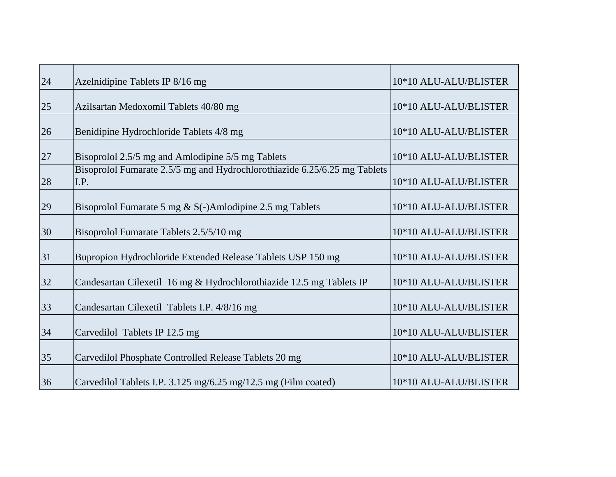| 24 | Azelnidipine Tablets IP 8/16 mg                                                   | 10*10 ALU-ALU/BLISTER |
|----|-----------------------------------------------------------------------------------|-----------------------|
| 25 | Azilsartan Medoxomil Tablets 40/80 mg                                             | 10*10 ALU-ALU/BLISTER |
| 26 | Benidipine Hydrochloride Tablets 4/8 mg                                           | 10*10 ALU-ALU/BLISTER |
| 27 | Bisoprolol 2.5/5 mg and Amlodipine 5/5 mg Tablets                                 | 10*10 ALU-ALU/BLISTER |
| 28 | Bisoprolol Fumarate 2.5/5 mg and Hydrochlorothiazide 6.25/6.25 mg Tablets<br>I.P. | 10*10 ALU-ALU/BLISTER |
| 29 | Bisoprolol Fumarate 5 mg $\&$ S(-)Amlodipine 2.5 mg Tablets                       | 10*10 ALU-ALU/BLISTER |
| 30 | Bisoprolol Fumarate Tablets 2.5/5/10 mg                                           | 10*10 ALU-ALU/BLISTER |
| 31 | Bupropion Hydrochloride Extended Release Tablets USP 150 mg                       | 10*10 ALU-ALU/BLISTER |
| 32 | Candesartan Cilexetil 16 mg & Hydrochlorothiazide 12.5 mg Tablets IP              | 10*10 ALU-ALU/BLISTER |
| 33 | Candesartan Cilexetil Tablets I.P. 4/8/16 mg                                      | 10*10 ALU-ALU/BLISTER |
| 34 | Carvedilol Tablets IP 12.5 mg                                                     | 10*10 ALU-ALU/BLISTER |
| 35 | Carvedilol Phosphate Controlled Release Tablets 20 mg                             | 10*10 ALU-ALU/BLISTER |
| 36 | Carvedilol Tablets I.P. 3.125 mg/6.25 mg/12.5 mg (Film coated)                    | 10*10 ALU-ALU/BLISTER |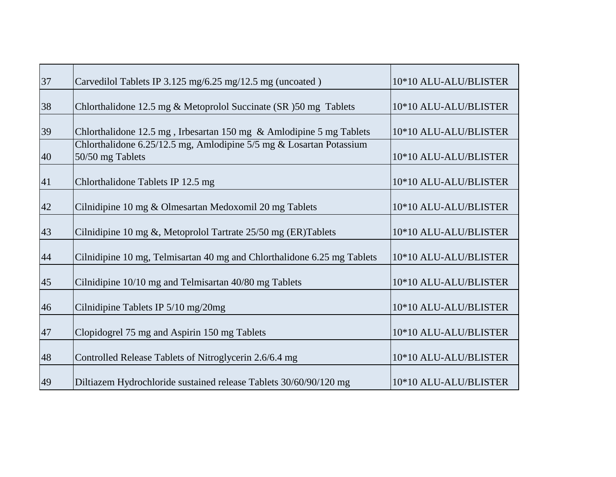| 37 | Carvedilol Tablets IP 3.125 mg/6.25 mg/12.5 mg (uncoated)                               | 10*10 ALU-ALU/BLISTER |
|----|-----------------------------------------------------------------------------------------|-----------------------|
| 38 | Chlorthalidone 12.5 mg & Metoprolol Succinate (SR )50 mg Tablets                        | 10*10 ALU-ALU/BLISTER |
| 39 | Chlorthalidone 12.5 mg, Irbesartan 150 mg $\&$ Amlodipine 5 mg Tablets                  | 10*10 ALU-ALU/BLISTER |
| 40 | Chlorthalidone 6.25/12.5 mg, Amlodipine 5/5 mg & Losartan Potassium<br>50/50 mg Tablets | 10*10 ALU-ALU/BLISTER |
| 41 | Chlorthalidone Tablets IP 12.5 mg                                                       | 10*10 ALU-ALU/BLISTER |
| 42 | Cilnidipine 10 mg & Olmesartan Medoxomil 20 mg Tablets                                  | 10*10 ALU-ALU/BLISTER |
| 43 | Cilnidipine 10 mg &, Metoprolol Tartrate 25/50 mg (ER)Tablets                           | 10*10 ALU-ALU/BLISTER |
| 44 | Cilnidipine 10 mg, Telmisartan 40 mg and Chlorthalidone 6.25 mg Tablets                 | 10*10 ALU-ALU/BLISTER |
| 45 | Cilnidipine 10/10 mg and Telmisartan 40/80 mg Tablets                                   | 10*10 ALU-ALU/BLISTER |
| 46 | Cilnidipine Tablets IP 5/10 mg/20mg                                                     | 10*10 ALU-ALU/BLISTER |
| 47 | Clopidogrel 75 mg and Aspirin 150 mg Tablets                                            | 10*10 ALU-ALU/BLISTER |
| 48 | Controlled Release Tablets of Nitroglycerin 2.6/6.4 mg                                  | 10*10 ALU-ALU/BLISTER |
| 49 | Diltiazem Hydrochloride sustained release Tablets 30/60/90/120 mg                       | 10*10 ALU-ALU/BLISTER |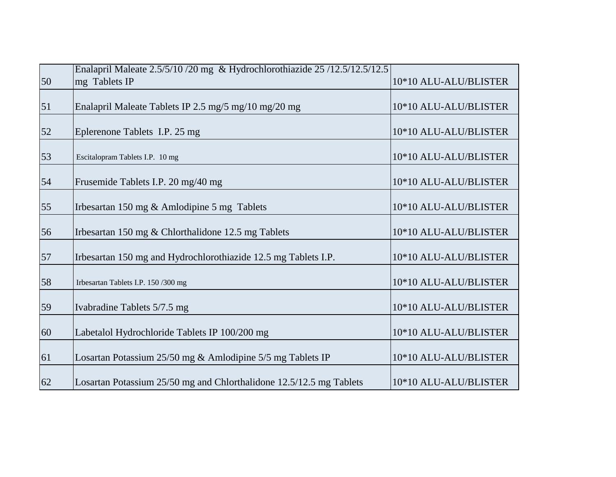|    | Enalapril Maleate 2.5/5/10/20 mg & Hydrochlorothiazide 25/12.5/12.5/12.5 |                       |
|----|--------------------------------------------------------------------------|-----------------------|
| 50 | mg Tablets IP                                                            | 10*10 ALU-ALU/BLISTER |
| 51 | Enalapril Maleate Tablets IP 2.5 mg/5 mg/10 mg/20 mg                     | 10*10 ALU-ALU/BLISTER |
| 52 | Eplerenone Tablets I.P. 25 mg                                            | 10*10 ALU-ALU/BLISTER |
| 53 | Escitalopram Tablets I.P. 10 mg                                          | 10*10 ALU-ALU/BLISTER |
| 54 | Frusemide Tablets I.P. 20 mg/40 mg                                       | 10*10 ALU-ALU/BLISTER |
| 55 | Irbesartan 150 mg & Amlodipine 5 mg Tablets                              | 10*10 ALU-ALU/BLISTER |
| 56 | Irbesartan 150 mg & Chlorthalidone 12.5 mg Tablets                       | 10*10 ALU-ALU/BLISTER |
| 57 | Irbesartan 150 mg and Hydrochlorothiazide 12.5 mg Tablets I.P.           | 10*10 ALU-ALU/BLISTER |
| 58 | Irbesartan Tablets I.P. 150/300 mg                                       | 10*10 ALU-ALU/BLISTER |
| 59 | Ivabradine Tablets 5/7.5 mg                                              | 10*10 ALU-ALU/BLISTER |
| 60 | Labetalol Hydrochloride Tablets IP 100/200 mg                            | 10*10 ALU-ALU/BLISTER |
| 61 | Losartan Potassium 25/50 mg & Amlodipine 5/5 mg Tablets IP               | 10*10 ALU-ALU/BLISTER |
| 62 | Losartan Potassium 25/50 mg and Chlorthalidone 12.5/12.5 mg Tablets      | 10*10 ALU-ALU/BLISTER |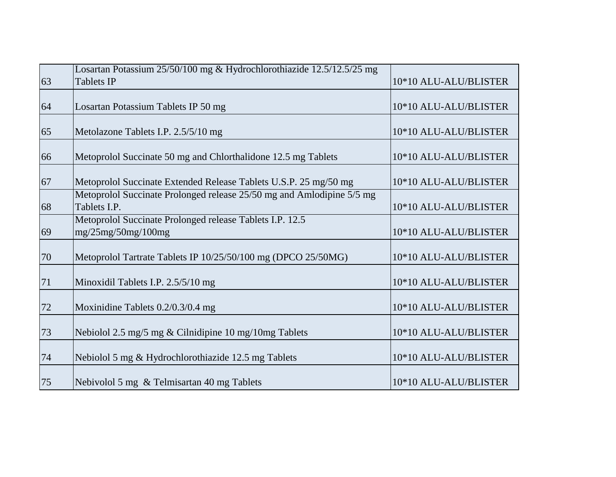|    | Losartan Potassium 25/50/100 mg & Hydrochlorothiazide 12.5/12.5/25 mg                 |                       |
|----|---------------------------------------------------------------------------------------|-----------------------|
| 63 | <b>Tablets IP</b>                                                                     | 10*10 ALU-ALU/BLISTER |
| 64 | Losartan Potassium Tablets IP 50 mg                                                   | 10*10 ALU-ALU/BLISTER |
| 65 | Metolazone Tablets I.P. 2.5/5/10 mg                                                   | 10*10 ALU-ALU/BLISTER |
| 66 | Metoprolol Succinate 50 mg and Chlorthalidone 12.5 mg Tablets                         | 10*10 ALU-ALU/BLISTER |
| 67 | Metoprolol Succinate Extended Release Tablets U.S.P. 25 mg/50 mg                      | 10*10 ALU-ALU/BLISTER |
| 68 | Metoprolol Succinate Prolonged release 25/50 mg and Amlodipine 5/5 mg<br>Tablets I.P. | 10*10 ALU-ALU/BLISTER |
| 69 | Metoprolol Succinate Prolonged release Tablets I.P. 12.5<br>mg/25mg/50mg/100mg        | 10*10 ALU-ALU/BLISTER |
| 70 | Metoprolol Tartrate Tablets IP 10/25/50/100 mg (DPCO 25/50MG)                         | 10*10 ALU-ALU/BLISTER |
| 71 | Minoxidil Tablets I.P. 2.5/5/10 mg                                                    | 10*10 ALU-ALU/BLISTER |
| 72 | Moxinidine Tablets 0.2/0.3/0.4 mg                                                     | 10*10 ALU-ALU/BLISTER |
| 73 | Nebiolol 2.5 mg/5 mg & Cilnidipine 10 mg/10mg Tablets                                 | 10*10 ALU-ALU/BLISTER |
| 74 | Nebiolol 5 mg & Hydrochlorothiazide 12.5 mg Tablets                                   | 10*10 ALU-ALU/BLISTER |
| 75 | Nebivolol 5 mg & Telmisartan 40 mg Tablets                                            | 10*10 ALU-ALU/BLISTER |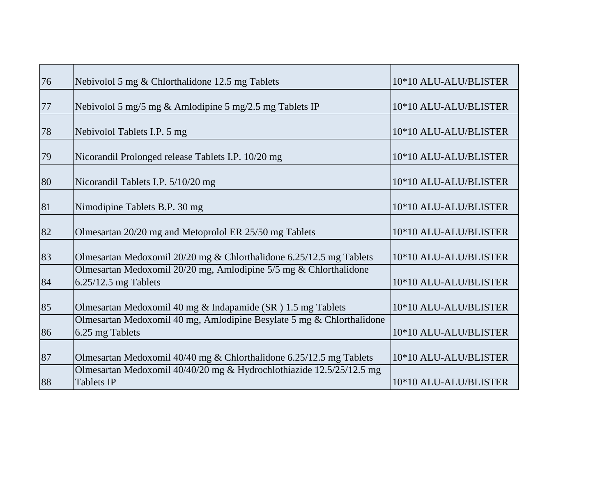| 76 | Nebivolol 5 mg & Chlorthalidone 12.5 mg Tablets                                             | 10*10 ALU-ALU/BLISTER |
|----|---------------------------------------------------------------------------------------------|-----------------------|
| 77 | Nebivolol 5 mg/5 mg $\&$ Amlodipine 5 mg/2.5 mg Tablets IP                                  | 10*10 ALU-ALU/BLISTER |
| 78 | Nebivolol Tablets I.P. 5 mg                                                                 | 10*10 ALU-ALU/BLISTER |
| 79 | Nicorandil Prolonged release Tablets I.P. 10/20 mg                                          | 10*10 ALU-ALU/BLISTER |
| 80 | Nicorandil Tablets I.P. 5/10/20 mg                                                          | 10*10 ALU-ALU/BLISTER |
| 81 | Nimodipine Tablets B.P. 30 mg                                                               | 10*10 ALU-ALU/BLISTER |
| 82 | Olmesartan 20/20 mg and Metoprolol ER 25/50 mg Tablets                                      | 10*10 ALU-ALU/BLISTER |
| 83 | Olmesartan Medoxomil 20/20 mg & Chlorthalidone 6.25/12.5 mg Tablets                         | 10*10 ALU-ALU/BLISTER |
| 84 | Olmesartan Medoxomil 20/20 mg, Amlodipine 5/5 mg & Chlorthalidone<br>$6.25/12.5$ mg Tablets | 10*10 ALU-ALU/BLISTER |
| 85 | Olmesartan Medoxomil 40 mg & Indapamide (SR) 1.5 mg Tablets                                 | 10*10 ALU-ALU/BLISTER |
| 86 | Olmesartan Medoxomil 40 mg, Amlodipine Besylate 5 mg & Chlorthalidone<br>6.25 mg Tablets    | 10*10 ALU-ALU/BLISTER |
| 87 | Olmesartan Medoxomil 40/40 mg & Chlorthalidone 6.25/12.5 mg Tablets                         | 10*10 ALU-ALU/BLISTER |
| 88 | Olmesartan Medoxomil 40/40/20 mg & Hydrochlothiazide 12.5/25/12.5 mg<br><b>Tablets IP</b>   | 10*10 ALU-ALU/BLISTER |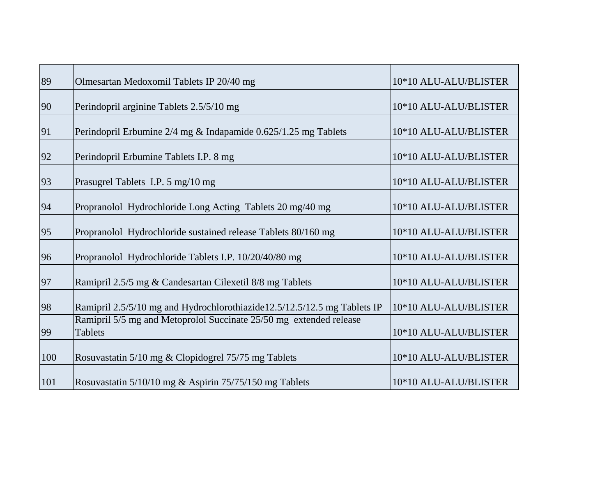| 89  | Olmesartan Medoxomil Tablets IP 20/40 mg                                             | 10*10 ALU-ALU/BLISTER |
|-----|--------------------------------------------------------------------------------------|-----------------------|
| 90  | Perindopril arginine Tablets 2.5/5/10 mg                                             | 10*10 ALU-ALU/BLISTER |
| 91  | Perindopril Erbumine 2/4 mg & Indapamide 0.625/1.25 mg Tablets                       | 10*10 ALU-ALU/BLISTER |
| 92  | Perindopril Erbumine Tablets I.P. 8 mg                                               | 10*10 ALU-ALU/BLISTER |
| 93  | Prasugrel Tablets I.P. 5 mg/10 mg                                                    | 10*10 ALU-ALU/BLISTER |
| 94  | Propranolol Hydrochloride Long Acting Tablets 20 mg/40 mg                            | 10*10 ALU-ALU/BLISTER |
| 95  | Propranolol Hydrochloride sustained release Tablets 80/160 mg                        | 10*10 ALU-ALU/BLISTER |
| 96  | Propranolol Hydrochloride Tablets I.P. 10/20/40/80 mg                                | 10*10 ALU-ALU/BLISTER |
| 97  | Ramipril 2.5/5 mg & Candesartan Cilexetil 8/8 mg Tablets                             | 10*10 ALU-ALU/BLISTER |
| 98  | Ramipril 2.5/5/10 mg and Hydrochlorothiazide12.5/12.5/12.5 mg Tablets IP             | 10*10 ALU-ALU/BLISTER |
| 99  | Ramipril 5/5 mg and Metoprolol Succinate 25/50 mg extended release<br><b>Tablets</b> | 10*10 ALU-ALU/BLISTER |
| 100 | Rosuvastatin 5/10 mg & Clopidogrel 75/75 mg Tablets                                  | 10*10 ALU-ALU/BLISTER |
| 101 | Rosuvastatin 5/10/10 mg & Aspirin 75/75/150 mg Tablets                               | 10*10 ALU-ALU/BLISTER |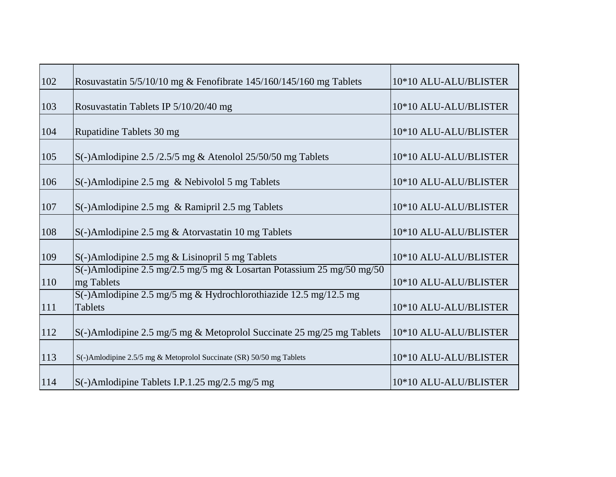| 102 | Rosuvastatin 5/5/10/10 mg & Fenofibrate 145/160/145/160 mg Tablets                  | 10*10 ALU-ALU/BLISTER |
|-----|-------------------------------------------------------------------------------------|-----------------------|
| 103 | Rosuvastatin Tablets IP 5/10/20/40 mg                                               | 10*10 ALU-ALU/BLISTER |
| 104 | Rupatidine Tablets 30 mg                                                            | 10*10 ALU-ALU/BLISTER |
| 105 | S(-)Amlodipine 2.5 $/2.5/5$ mg & Atenolol 25/50/50 mg Tablets                       | 10*10 ALU-ALU/BLISTER |
| 106 | $S(-)$ Amlodipine 2.5 mg & Nebivolol 5 mg Tablets                                   | 10*10 ALU-ALU/BLISTER |
| 107 | S(-)Amlodipine 2.5 mg & Ramipril 2.5 mg Tablets                                     | 10*10 ALU-ALU/BLISTER |
| 108 | $S(-)$ Amlodipine 2.5 mg & Atorvastatin 10 mg Tablets                               | 10*10 ALU-ALU/BLISTER |
| 109 | S(-)Amlodipine 2.5 mg & Lisinopril 5 mg Tablets                                     | 10*10 ALU-ALU/BLISTER |
| 110 | S(-)Amlodipine 2.5 mg/2.5 mg/5 mg & Losartan Potassium 25 mg/50 mg/50<br>mg Tablets | 10*10 ALU-ALU/BLISTER |
| 111 | S(-)Amlodipine 2.5 mg/5 mg & Hydrochlorothiazide 12.5 mg/12.5 mg<br><b>Tablets</b>  | 10*10 ALU-ALU/BLISTER |
| 112 | $S(-)$ Amlodipine 2.5 mg/5 mg & Metoprolol Succinate 25 mg/25 mg Tablets            | 10*10 ALU-ALU/BLISTER |
| 113 | S(-)Amlodipine 2.5/5 mg & Metoprolol Succinate (SR) 50/50 mg Tablets                | 10*10 ALU-ALU/BLISTER |
| 114 | S(-)Amlodipine Tablets I.P.1.25 mg/2.5 mg/5 mg                                      | 10*10 ALU-ALU/BLISTER |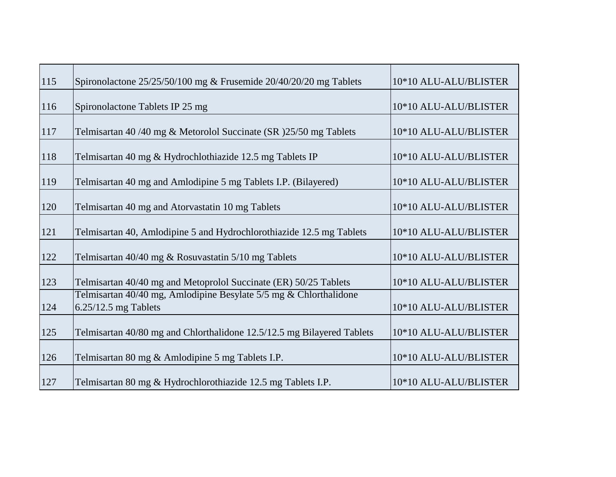| 115 | Spironolactone 25/25/50/100 mg & Frusemide 20/40/20/20 mg Tablets                         | 10*10 ALU-ALU/BLISTER |
|-----|-------------------------------------------------------------------------------------------|-----------------------|
| 116 | Spironolactone Tablets IP 25 mg                                                           | 10*10 ALU-ALU/BLISTER |
| 117 | Telmisartan 40/40 mg & Metorolol Succinate (SR) 25/50 mg Tablets                          | 10*10 ALU-ALU/BLISTER |
| 118 | Telmisartan 40 mg & Hydrochlothiazide 12.5 mg Tablets IP                                  | 10*10 ALU-ALU/BLISTER |
| 119 | Telmisartan 40 mg and Amlodipine 5 mg Tablets I.P. (Bilayered)                            | 10*10 ALU-ALU/BLISTER |
| 120 | Telmisartan 40 mg and Atorvastatin 10 mg Tablets                                          | 10*10 ALU-ALU/BLISTER |
| 121 | Telmisartan 40, Amlodipine 5 and Hydrochlorothiazide 12.5 mg Tablets                      | 10*10 ALU-ALU/BLISTER |
| 122 | Telmisartan 40/40 mg & Rosuvastatin 5/10 mg Tablets                                       | 10*10 ALU-ALU/BLISTER |
| 123 | Telmisartan 40/40 mg and Metoprolol Succinate (ER) 50/25 Tablets                          | 10*10 ALU-ALU/BLISTER |
| 124 | Telmisartan 40/40 mg, Amlodipine Besylate 5/5 mg & Chlorthalidone<br>6.25/12.5 mg Tablets | 10*10 ALU-ALU/BLISTER |
| 125 | Telmisartan 40/80 mg and Chlorthalidone 12.5/12.5 mg Bilayered Tablets                    | 10*10 ALU-ALU/BLISTER |
| 126 | Telmisartan 80 mg & Amlodipine 5 mg Tablets I.P.                                          | 10*10 ALU-ALU/BLISTER |
| 127 | Telmisartan 80 mg & Hydrochlorothiazide 12.5 mg Tablets I.P.                              | 10*10 ALU-ALU/BLISTER |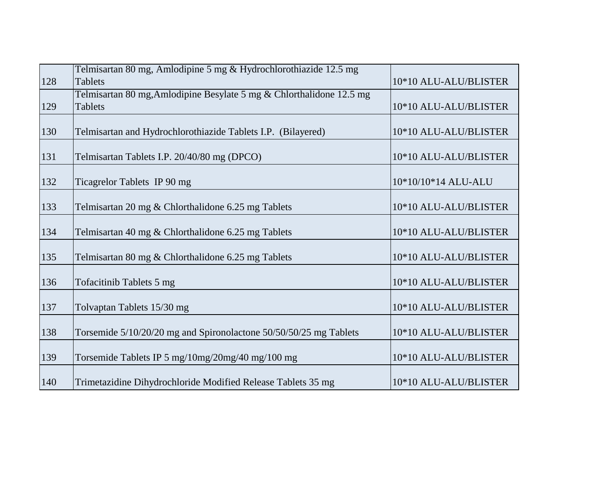|     | Telmisartan 80 mg, Amlodipine 5 mg & Hydrochlorothiazide 12.5 mg     |                       |
|-----|----------------------------------------------------------------------|-----------------------|
| 128 | <b>Tablets</b>                                                       | 10*10 ALU-ALU/BLISTER |
|     | Telmisartan 80 mg, Amlodipine Besylate 5 mg & Chlorthalidone 12.5 mg |                       |
| 129 | <b>Tablets</b>                                                       | 10*10 ALU-ALU/BLISTER |
|     |                                                                      |                       |
| 130 | Telmisartan and Hydrochlorothiazide Tablets I.P. (Bilayered)         | 10*10 ALU-ALU/BLISTER |
| 131 | Telmisartan Tablets I.P. 20/40/80 mg (DPCO)                          | 10*10 ALU-ALU/BLISTER |
|     |                                                                      |                       |
| 132 | Ticagrelor Tablets IP 90 mg                                          | 10*10/10*14 ALU-ALU   |
|     |                                                                      |                       |
| 133 | Telmisartan 20 mg & Chlorthalidone 6.25 mg Tablets                   | 10*10 ALU-ALU/BLISTER |
|     |                                                                      |                       |
| 134 | Telmisartan 40 mg & Chlorthalidone 6.25 mg Tablets                   | 10*10 ALU-ALU/BLISTER |
|     |                                                                      |                       |
| 135 | Telmisartan 80 mg & Chlorthalidone 6.25 mg Tablets                   | 10*10 ALU-ALU/BLISTER |
| 136 | Tofacitinib Tablets 5 mg                                             | 10*10 ALU-ALU/BLISTER |
|     |                                                                      |                       |
| 137 | Tolvaptan Tablets 15/30 mg                                           | 10*10 ALU-ALU/BLISTER |
| 138 | Torsemide 5/10/20/20 mg and Spironolactone 50/50/50/25 mg Tablets    | 10*10 ALU-ALU/BLISTER |
|     |                                                                      |                       |
| 139 | Torsemide Tablets IP 5 mg/10mg/20mg/40 mg/100 mg                     | 10*10 ALU-ALU/BLISTER |
| 140 | Trimetazidine Dihydrochloride Modified Release Tablets 35 mg         | 10*10 ALU-ALU/BLISTER |
|     |                                                                      |                       |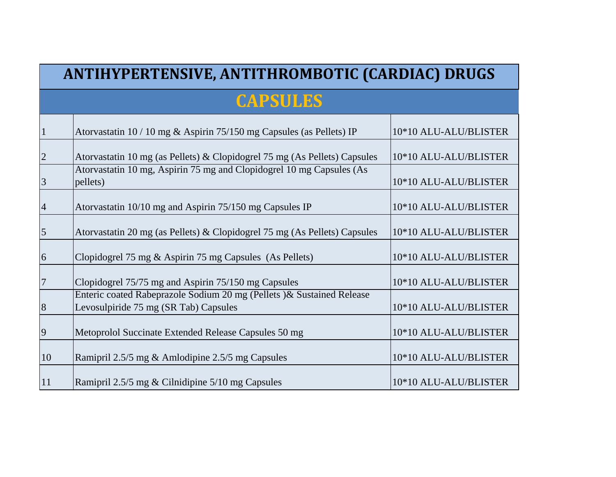| <b>ANTIHYPERTENSIVE, ANTITHROMBOTIC (CARDIAC) DRUGS</b> |                                                                                                                 |                       |
|---------------------------------------------------------|-----------------------------------------------------------------------------------------------------------------|-----------------------|
|                                                         | <b>CAPSULES</b>                                                                                                 |                       |
| $\vert$ 1                                               | Atorvastatin 10 / 10 mg & Aspirin 75/150 mg Capsules (as Pellets) IP                                            | 10*10 ALU-ALU/BLISTER |
| $\overline{2}$                                          | Atorvastatin 10 mg (as Pellets) & Clopidogrel 75 mg (As Pellets) Capsules                                       | 10*10 ALU-ALU/BLISTER |
| $\overline{3}$                                          | Atorvastatin 10 mg, Aspirin 75 mg and Clopidogrel 10 mg Capsules (As<br>pellets)                                | 10*10 ALU-ALU/BLISTER |
| $\overline{4}$                                          | Atorvastatin 10/10 mg and Aspirin 75/150 mg Capsules IP                                                         | 10*10 ALU-ALU/BLISTER |
| $\overline{\mathbf{5}}$                                 | Atorvastatin 20 mg (as Pellets) & Clopidogrel 75 mg (As Pellets) Capsules                                       | 10*10 ALU-ALU/BLISTER |
| 6                                                       | Clopidogrel 75 mg & Aspirin 75 mg Capsules (As Pellets)                                                         | 10*10 ALU-ALU/BLISTER |
| $7\phantom{.0}$                                         | Clopidogrel 75/75 mg and Aspirin 75/150 mg Capsules                                                             | 10*10 ALU-ALU/BLISTER |
| $\sqrt{8}$                                              | Enteric coated Rabeprazole Sodium 20 mg (Pellets ) & Sustained Release<br>Levosulpiride 75 mg (SR Tab) Capsules | 10*10 ALU-ALU/BLISTER |
| $\overline{9}$                                          | Metoprolol Succinate Extended Release Capsules 50 mg                                                            | 10*10 ALU-ALU/BLISTER |
| 10                                                      | Ramipril 2.5/5 mg & Amlodipine 2.5/5 mg Capsules                                                                | 10*10 ALU-ALU/BLISTER |
| <sup>11</sup>                                           | Ramipril 2.5/5 mg & Cilnidipine 5/10 mg Capsules                                                                | 10*10 ALU-ALU/BLISTER |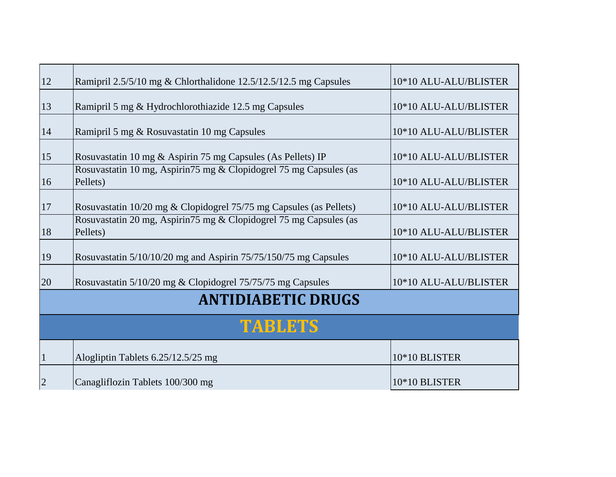| <sup>12</sup>             | Ramipril 2.5/5/10 mg & Chlorthalidone 12.5/12.5/12.5 mg Capsules               | 10*10 ALU-ALU/BLISTER |  |
|---------------------------|--------------------------------------------------------------------------------|-----------------------|--|
| 13                        | Ramipril 5 mg & Hydrochlorothiazide 12.5 mg Capsules                           | 10*10 ALU-ALU/BLISTER |  |
| 14                        | Ramipril 5 mg & Rosuvastatin 10 mg Capsules                                    | 10*10 ALU-ALU/BLISTER |  |
| 15                        | Rosuvastatin 10 mg & Aspirin 75 mg Capsules (As Pellets) IP                    | 10*10 ALU-ALU/BLISTER |  |
| 16                        | Rosuvastatin 10 mg, Aspirin 75 mg & Clopidogrel 75 mg Capsules (as<br>Pellets) | 10*10 ALU-ALU/BLISTER |  |
| 17                        | Rosuvastatin 10/20 mg & Clopidogrel 75/75 mg Capsules (as Pellets)             | 10*10 ALU-ALU/BLISTER |  |
| 18                        | Rosuvastatin 20 mg, Aspirin 75 mg & Clopidogrel 75 mg Capsules (as<br>Pellets) | 10*10 ALU-ALU/BLISTER |  |
| 19                        | Rosuvastatin 5/10/10/20 mg and Aspirin 75/75/150/75 mg Capsules                | 10*10 ALU-ALU/BLISTER |  |
| 20                        | Rosuvastatin 5/10/20 mg & Clopidogrel 75/75/75 mg Capsules                     | 10*10 ALU-ALU/BLISTER |  |
| <b>ANTIDIABETIC DRUGS</b> |                                                                                |                       |  |
|                           | <b>TABLETS</b>                                                                 |                       |  |
| $\vert$ 1                 | Alogliptin Tablets 6.25/12.5/25 mg                                             | 10*10 BLISTER         |  |
| $\overline{2}$            | Canagliflozin Tablets 100/300 mg                                               | 10*10 BLISTER         |  |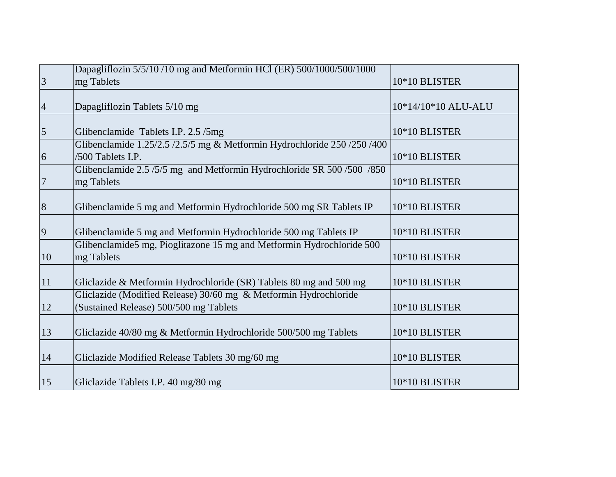|                 | Dapagliflozin 5/5/10/10 mg and Metformin HCl (ER) 500/1000/500/1000      |                     |
|-----------------|--------------------------------------------------------------------------|---------------------|
| $\overline{3}$  | mg Tablets                                                               | 10*10 BLISTER       |
|                 |                                                                          |                     |
| $\overline{4}$  | Dapagliflozin Tablets 5/10 mg                                            | 10*14/10*10 ALU-ALU |
|                 |                                                                          |                     |
| $\overline{5}$  | Glibenclamide Tablets I.P. 2.5/5mg                                       | 10*10 BLISTER       |
|                 | Glibenclamide 1.25/2.5 /2.5/5 mg & Metformin Hydrochloride 250 /250 /400 |                     |
| 6               | /500 Tablets I.P.                                                        | 10*10 BLISTER       |
|                 | Glibenclamide 2.5/5/5 mg and Metformin Hydrochloride SR 500/500 /850     |                     |
| $7\phantom{.0}$ | mg Tablets                                                               | 10*10 BLISTER       |
|                 |                                                                          |                     |
| $\,8\,$         | Glibenclamide 5 mg and Metformin Hydrochloride 500 mg SR Tablets IP      | 10*10 BLISTER       |
|                 |                                                                          |                     |
| 9               | Glibenclamide 5 mg and Metformin Hydrochloride 500 mg Tablets IP         | 10*10 BLISTER       |
|                 | Glibenclamide5 mg, Pioglitazone 15 mg and Metformin Hydrochloride 500    |                     |
| 10              | mg Tablets                                                               | 10*10 BLISTER       |
|                 |                                                                          |                     |
| 11              | Gliclazide & Metformin Hydrochloride (SR) Tablets 80 mg and 500 mg       | 10*10 BLISTER       |
|                 | Gliclazide (Modified Release) 30/60 mg & Metformin Hydrochloride         |                     |
| 12              | (Sustained Release) 500/500 mg Tablets                                   | 10*10 BLISTER       |
|                 |                                                                          |                     |
| 13              | Gliclazide 40/80 mg & Metformin Hydrochloride 500/500 mg Tablets         | 10*10 BLISTER       |
|                 |                                                                          |                     |
| 14              | Gliclazide Modified Release Tablets 30 mg/60 mg                          | 10*10 BLISTER       |
|                 |                                                                          |                     |
| 15              | Gliclazide Tablets I.P. 40 mg/80 mg                                      | 10*10 BLISTER       |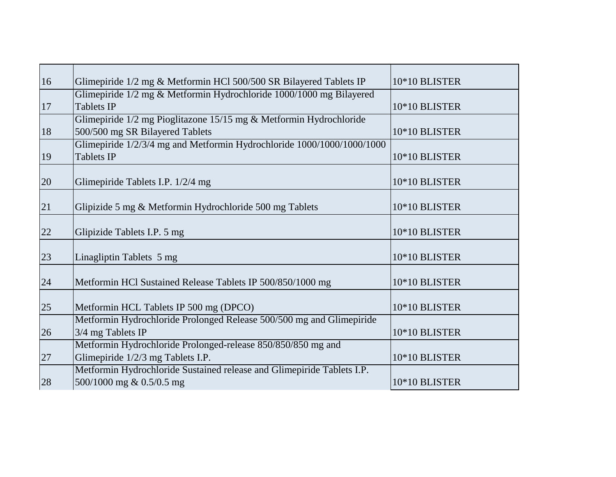| 16 | Glimepiride 1/2 mg & Metformin HCl 500/500 SR Bilayered Tablets IP     | 10*10 BLISTER |
|----|------------------------------------------------------------------------|---------------|
|    | Glimepiride 1/2 mg & Metformin Hydrochloride 1000/1000 mg Bilayered    |               |
| 17 | Tablets IP                                                             | 10*10 BLISTER |
|    | Glimepiride 1/2 mg Pioglitazone 15/15 mg & Metformin Hydrochloride     |               |
| 18 | 500/500 mg SR Bilayered Tablets                                        | 10*10 BLISTER |
|    | Glimepiride 1/2/3/4 mg and Metformin Hydrochloride 1000/1000/1000/1000 |               |
| 19 | Tablets IP                                                             | 10*10 BLISTER |
| 20 | Glimepiride Tablets I.P. 1/2/4 mg                                      | 10*10 BLISTER |
|    |                                                                        |               |
| 21 | Glipizide 5 mg & Metformin Hydrochloride 500 mg Tablets                | 10*10 BLISTER |
|    |                                                                        |               |
| 22 | Glipizide Tablets I.P. 5 mg                                            | 10*10 BLISTER |
|    |                                                                        |               |
| 23 | Linagliptin Tablets 5 mg                                               | 10*10 BLISTER |
| 24 | Metformin HCl Sustained Release Tablets IP 500/850/1000 mg             | 10*10 BLISTER |
|    |                                                                        |               |
| 25 | Metformin HCL Tablets IP 500 mg (DPCO)                                 | 10*10 BLISTER |
|    | Metformin Hydrochloride Prolonged Release 500/500 mg and Glimepiride   |               |
| 26 | 3/4 mg Tablets IP                                                      | 10*10 BLISTER |
|    | Metformin Hydrochloride Prolonged-release 850/850/850 mg and           |               |
| 27 | Glimepiride 1/2/3 mg Tablets I.P.                                      | 10*10 BLISTER |
|    | Metformin Hydrochloride Sustained release and Glimepiride Tablets I.P. |               |
| 28 | 500/1000 mg & 0.5/0.5 mg                                               | 10*10 BLISTER |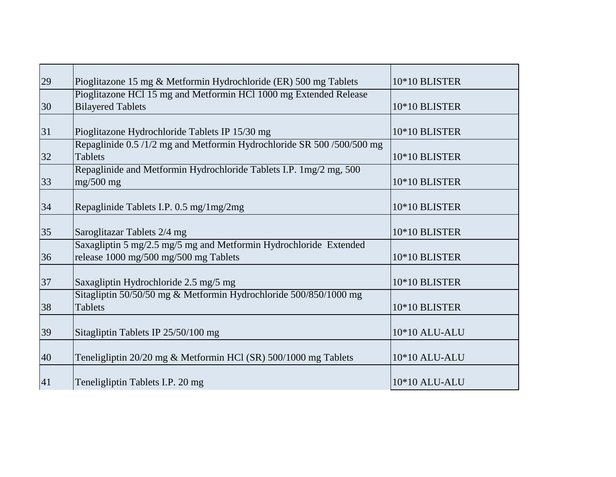| 29 | Pioglitazone 15 mg & Metformin Hydrochloride (ER) 500 mg Tablets     | 10*10 BLISTER |
|----|----------------------------------------------------------------------|---------------|
|    | Pioglitazone HCl 15 mg and Metformin HCl 1000 mg Extended Release    |               |
| 30 | <b>Bilayered Tablets</b>                                             | 10*10 BLISTER |
|    |                                                                      |               |
| 31 | Pioglitazone Hydrochloride Tablets IP 15/30 mg                       | 10*10 BLISTER |
|    | Repaglinide 0.5/1/2 mg and Metformin Hydrochloride SR 500/500/500 mg |               |
| 32 | Tablets                                                              | 10*10 BLISTER |
|    | Repaglinide and Metformin Hydrochloride Tablets I.P. 1mg/2 mg, 500   |               |
| 33 | $mg/500$ mg                                                          | 10*10 BLISTER |
|    |                                                                      |               |
| 34 | Repaglinide Tablets I.P. 0.5 mg/1mg/2mg                              | 10*10 BLISTER |
|    |                                                                      |               |
| 35 | Saroglitazar Tablets 2/4 mg                                          | 10*10 BLISTER |
|    | Saxagliptin 5 mg/2.5 mg/5 mg and Metformin Hydrochloride Extended    |               |
| 36 | release 1000 mg/500 mg/500 mg Tablets                                | 10*10 BLISTER |
|    |                                                                      |               |
| 37 | Saxagliptin Hydrochloride 2.5 mg/5 mg                                | 10*10 BLISTER |
|    | Sitagliptin 50/50/50 mg & Metformin Hydrochloride 500/850/1000 mg    |               |
| 38 | <b>Tablets</b>                                                       | 10*10 BLISTER |
|    |                                                                      |               |
| 39 | Sitagliptin Tablets IP 25/50/100 mg                                  | 10*10 ALU-ALU |
|    |                                                                      |               |
| 40 | Teneligliptin 20/20 mg & Metformin HCl (SR) 500/1000 mg Tablets      | 10*10 ALU-ALU |
|    |                                                                      |               |
| 41 | Teneligliptin Tablets I.P. 20 mg                                     | 10*10 ALU-ALU |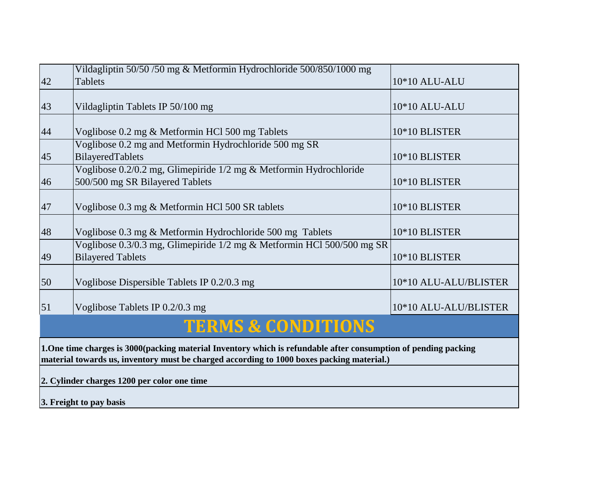|                                                                                                                                                                                                               | Vildagliptin 50/50 /50 mg & Metformin Hydrochloride 500/850/1000 mg                                   |                       |  |  |
|---------------------------------------------------------------------------------------------------------------------------------------------------------------------------------------------------------------|-------------------------------------------------------------------------------------------------------|-----------------------|--|--|
| 42                                                                                                                                                                                                            | <b>Tablets</b>                                                                                        | 10*10 ALU-ALU         |  |  |
| 43                                                                                                                                                                                                            | Vildagliptin Tablets IP 50/100 mg                                                                     | 10*10 ALU-ALU         |  |  |
| 44                                                                                                                                                                                                            | Voglibose 0.2 mg & Metformin HCl 500 mg Tablets                                                       | 10*10 BLISTER         |  |  |
| 45                                                                                                                                                                                                            | Voglibose 0.2 mg and Metformin Hydrochloride 500 mg SR<br>BilayeredTablets                            | 10*10 BLISTER         |  |  |
| 46                                                                                                                                                                                                            | Voglibose 0.2/0.2 mg, Glimepiride 1/2 mg & Metformin Hydrochloride<br>500/500 mg SR Bilayered Tablets | 10*10 BLISTER         |  |  |
| 47                                                                                                                                                                                                            | Voglibose 0.3 mg & Metformin HCl 500 SR tablets                                                       | 10*10 BLISTER         |  |  |
| 48                                                                                                                                                                                                            | Voglibose 0.3 mg & Metformin Hydrochloride 500 mg Tablets                                             | 10*10 BLISTER         |  |  |
| 49                                                                                                                                                                                                            | Voglibose 0.3/0.3 mg, Glimepiride 1/2 mg & Metformin HCl 500/500 mg SR<br><b>Bilayered Tablets</b>    | 10*10 BLISTER         |  |  |
| 50                                                                                                                                                                                                            | Voglibose Dispersible Tablets IP 0.2/0.3 mg                                                           | 10*10 ALU-ALU/BLISTER |  |  |
| 51                                                                                                                                                                                                            | Voglibose Tablets IP 0.2/0.3 mg                                                                       | 10*10 ALU-ALU/BLISTER |  |  |
| <b>TERMS &amp; CONDITIONS</b>                                                                                                                                                                                 |                                                                                                       |                       |  |  |
| 1. One time charges is 3000 (packing material Inventory which is refundable after consumption of pending packing<br>material towards us, inventory must be charged according to 1000 boxes packing material.) |                                                                                                       |                       |  |  |
| 2. Cylinder charges 1200 per color one time                                                                                                                                                                   |                                                                                                       |                       |  |  |
| 3. Freight to pay basis                                                                                                                                                                                       |                                                                                                       |                       |  |  |